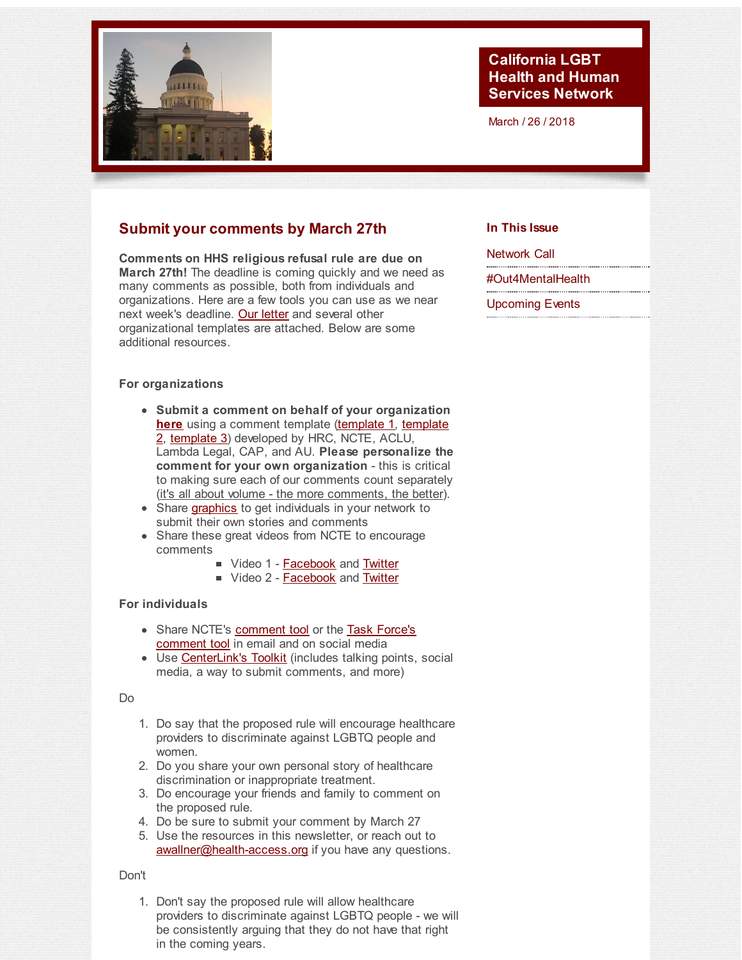<span id="page-0-0"></span>

### **California LGBT Health and Human Services Network**

March / 26 / 2018

## **Submit your comments by March 27th**

**Comments on HHS religious refusal rule are due on March 27th!** The deadline is coming quickly and we need as many comments as possible, both from individuals and organizations. Here are a few tools you can use as we near next week's deadline. Our [letter](http://r20.rs6.net/tn.jsp?f=001Zr9_xTAlDF7Kg-ZP_gUf0zzzhpyQqtWB015dZ_Ry84v-bxfk6ncC66xiGSb4K5N9Kwc0VC4xXQgMkcFgzEN2_W4FZayMZrlZngmDGugVm5qtPuOOrSJTb7ItL8aUMIotRpV5UTtnsxrV_t9kP5egiS6loJ6W02ICaQuGo7FAQNpzHPHp4S4jk1N-brFdyFq-5dHE0LtQm25z_sapNiox4MCvVrCEzoLj7xK8EPQO2a_HsAfy9fTCkVpM7saowaxdVJbcwmpvp9c=&c=&ch=) and several other organizational templates are attached. Below are some additional resources.

### **For organizations**

- **Submit a comment on behalf of your organization [here](http://r20.rs6.net/tn.jsp?f=001Zr9_xTAlDF7Kg-ZP_gUf0zzzhpyQqtWB015dZ_Ry84v-bxfk6ncC66xiGSb4K5N9whM1s9fvwIXYxHKV8dJQ7oEMLErcNxx4uC3OTDjZtiyeeKf3G8ksZL7aLR2_YdN7IPaMSa74RKBLsVHApyxcQmx5BoIZiAMa6wBpU8tK43YZqXPyIfJ_QBeily2Tga0kx1JpWekW0AGOR3bAza2zfLWTQPUulHHc&c=&ch=)** using a comment template [\(template](http://r20.rs6.net/tn.jsp?f=001Zr9_xTAlDF7Kg-ZP_gUf0zzzhpyQqtWB015dZ_Ry84v-bxfk6ncC66xiGSb4K5N9eJiPzoW6HdbAJmHu7mL5T6XWND64p0dB8nsXLtQLtZKjcn8VkcPA8NY0IDeAuqJ9xiAwupG4SgETZO5DEOA_XUdrjHd_nsd1EmN0JqZWT5dvzErVaqeRDxh85qlK-J9iaXrzS4sWHh50LTs4x4e2dN0ywX2P7j3-wugtV9O3bE1GjYXhyjmid5uVvgshH02e&c=&ch=) 1, template 2, [template](http://r20.rs6.net/tn.jsp?f=001Zr9_xTAlDF7Kg-ZP_gUf0zzzhpyQqtWB015dZ_Ry84v-bxfk6ncC66xiGSb4K5N9Brl6ocGlLOShmAhCr42Nuft3zJoA1zcZRbwG-vf0LpG7jQDpYRzySi_S8mgu8UD_uSyY-ydl6imlHuRWnES7s6mU822XtR7lybDRrvxXkuopxezV8Iy9d6Haq_H_SGCSuSnKnxLx6QdUBrRn8RBlOB60O4wC9VxTxyCEW2rANCk-Kz-pKh1piG0qztzy8JKhjCa7VSwVsr8=&c=&ch=) 3) [developed](http://r20.rs6.net/tn.jsp?f=001Zr9_xTAlDF7Kg-ZP_gUf0zzzhpyQqtWB015dZ_Ry84v-bxfk6ncC66xiGSb4K5N9D9lrOl6VLgK75TRPnIZTANDk8o7LywaSkpTGfroLBECrAVADuM649sTfB-Y5vveix-HcfWarR6iv5RkG3ABC_O85vE6xXS0dLem77limPUmiKNzVLP_CmqlSepDSv_J8YvOFHxxzdPXAo0VWiuhXh1FwwlFF3AgmboQXsjtG7T0=&c=&ch=) by HRC, NCTE, ACLU, Lambda Legal, CAP, and AU. **Please personalize the comment for your own organization** - this is critical to making sure each of our comments count separately (it's all about volume - the more comments, the better).
- Share [graphics](http://r20.rs6.net/tn.jsp?f=001Zr9_xTAlDF7Kg-ZP_gUf0zzzhpyQqtWB015dZ_Ry84v-bxfk6ncC66xiGSb4K5N9fQ4UGl0Uzmd7cvFOlqC8qbluX399ftIyeQT-k8U44titdnS0CC1QBzPpz1OWxViQAFVHQfsB8QgTW7m9kpv3z-ds_J2Vt665r4Q0kRcliACpur04FNh_OutAZo1G5rPgixZecW6KKVgev2C1u2Yo-VYDGGxwtpqzbuSw9sNVRZ3QIN1mS-Oe5g==&c=&ch=) to get individuals in your network to submit their own stories and comments
- Share these great videos from NCTE to encourage comments
	- Video 1 **[Facebook](http://r20.rs6.net/tn.jsp?f=001Zr9_xTAlDF7Kg-ZP_gUf0zzzhpyQqtWB015dZ_Ry84v-bxfk6ncC66xiGSb4K5N9s9BUfdHqT1gTb8WgkYK6b0yY83Eo3Qq6-2tlIf2g3_UK9f_VQZHv3zE02b1VYFBEdrBKqcpVntWb3SRkHgX2vtXKCyelZaeX1gQuJBFfXatjvk6f_cOaozI_Qs_9dLgnC6M6QJd_OEVv2wGDCEViJzPT9QzCySJ9q-lrFNSqQDs=&c=&ch=)** and **[Twitter](http://r20.rs6.net/tn.jsp?f=001Zr9_xTAlDF7Kg-ZP_gUf0zzzhpyQqtWB015dZ_Ry84v-bxfk6ncC66xiGSb4K5N9FGuizKPPVEOEffOab5YZOZK3GYSGKAf-y5FFYagR6NR4LkZzRj6GngeDRoyTLSySHcuSnqF9KHaliOXDNKM4ZI2vcGdDehW47_9ApE462s-Qw9t454jcWlVD2JX_B_Cl_g7GrVY2r4J243dRfiRQ678_5x485Nzr&c=&ch=)**
	- Video 2 **[Facebook](http://r20.rs6.net/tn.jsp?f=001Zr9_xTAlDF7Kg-ZP_gUf0zzzhpyQqtWB015dZ_Ry84v-bxfk6ncC66xiGSb4K5N9yMiPQh9dX3y2r2EDkiIJ-65mADkxarPDsr2KnFajwz2f4wxS7gY5zX4CS_tCBvJ0ETusRhAMetOSyX3GIQBQ67h5Ygw4gA0u_Xn3c3qq8yeJvI-80cmL2VFst2ihkGmmaMA9LDzEXLcmb16L8WJg91u88tBdxINEXWBlAhqaMyY=&c=&ch=)** and **[Twitter](http://r20.rs6.net/tn.jsp?f=001Zr9_xTAlDF7Kg-ZP_gUf0zzzhpyQqtWB015dZ_Ry84v-bxfk6ncC66xiGSb4K5N98Y1e_TXrEsZeRFqGdSPDX0WLTxMrOudQUiNVexjcx10ylmybidR76r-JPejEruMpg1U_r-AnPcubzdlnT9ZcmJTW-0Ne1ByfVgPLCCLFBTTwgMwRgrVaig8LZvu00GU2InmOYoV4r20ebT1WY94PcpWBmYHwGvG5&c=&ch=)**

### **For individuals**

- Share NCTE's [comment](http://r20.rs6.net/tn.jsp?f=001Zr9_xTAlDF7Kg-ZP_gUf0zzzhpyQqtWB015dZ_Ry84v-bxfk6ncC66xiGSb4K5N9VV2M-0JTXveHtBZ6OequVBG-ZLLNsnB5Hy8KtWgdI-HCejmYoMcQyn7rrghA6vVkora9S0cmb6BIJGx_GEbWv4rZCxdulIV5APmr_kX0qKZYrp6B47a4AyZiM9gmopplcUgzCp9UoVw8a3kb5chqvlTceeajpV2zls5UFJrGC_q2pNl5hXeIBf6aK9RIggWVacHgWQS4L9EszebURnn-zg==&c=&ch=) tool or the Task Force's [comment](http://r20.rs6.net/tn.jsp?f=001Zr9_xTAlDF7Kg-ZP_gUf0zzzhpyQqtWB015dZ_Ry84v-bxfk6ncC66xiGSb4K5N93K8scAn8yprzOtRH37bPFWxTSK8OgeBZ9aL79chVHxNnAT0nV78KG1lfkcfhJnSZgXrH93hPXhY9rRb1HBeC4d5gkWqctBy8-jn-EY4qV3B6ar_WfxACJpaW0lEzWoh3411IR-50xrJTehLpWuANphMKjCwvclB67q3bmbI_xGis6SJ0btegHVyH6Ef5gxSyLnfYHoZQlS7lLp3sx7lbgg==&c=&ch=) tool in email and on social media
- Use [CenterLink's](http://r20.rs6.net/tn.jsp?f=001Zr9_xTAlDF7Kg-ZP_gUf0zzzhpyQqtWB015dZ_Ry84v-bxfk6ncC66xiGSb4K5N9i96NQWU_qXO3xMXB2K_-bwIqwXlk2ji1EBMsnQ9sqhkZuh_1WaOsNXycKW7Z5lWYK1CTjQd5m6LR1XKw6FvRIe0cmURHnFBA7S7KjueGYz9XXZxyZ6yLuNtJxbouZKs7b7SsU2Tj9FU-UUozDRHnHQ==&c=&ch=) Toolkit (includes talking points, social media, a way to submit comments, and more)

#### Do

- 1. Do say that the proposed rule will encourage healthcare providers to discriminate against LGBTQ people and women.
- 2. Do you share your own personal story of healthcare discrimination or inappropriate treatment.
- 3. Do encourage your friends and family to comment on the proposed rule.
- 4. Do be sure to submit your comment by March 27
- 5. Use the resources in this newsletter, or reach out to [awallner@health-access.org](mailto:awallner@health-access.org) if you have any questions.

### Don't

1. Don't say the proposed rule will allow healthcare providers to discriminate against LGBTQ people - we will be consistently arguing that they do not have that right in the coming years.

### **In This Issue**

[Network](#page-0-0) Call

[#Out4MentalHealth](#page-0-0)

[Upcoming](#page-0-0) Events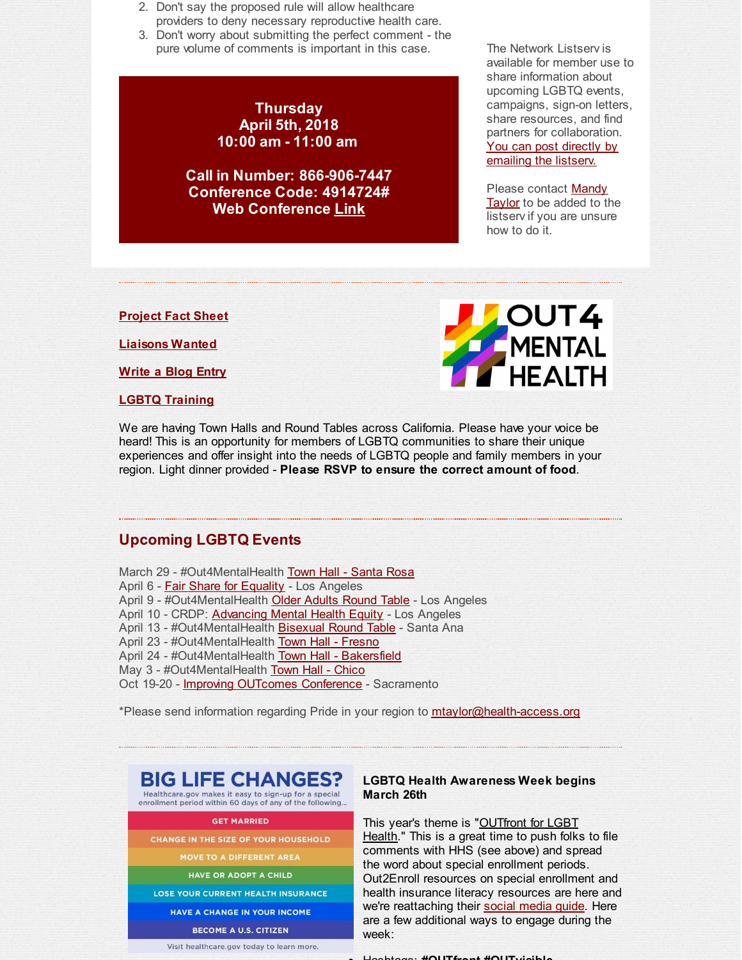- 2. Don't say the proposed rule will allow healthcare providers to deny necessary reproductive health care.
- 3. Don't worry about submitting the perfect comment the pure volume of comments is important in this case.

### **Thursday April 5th, 2018 10:00 am - 11:00 am**

**Call in Number: 866-906-7447 Conference Code: 4914724# Web Conference [Link](http://r20.rs6.net/tn.jsp?f=001Zr9_xTAlDF7Kg-ZP_gUf0zzzhpyQqtWB015dZ_Ry84v-bxfk6ncC615dI0Eg15sSyJyV7DHvSXTJLKJ7E5J2SMLRB9J44hAfhicRpMm8UKICSbzsYhjKkfe3-vCyVqyjPexF1hKRJObSH8S0tQdoyPAe10x6KvfcOWI5lvQtVf-QoEsl-sZLOqaJ3h5vKggHuVyCFDAJhn4ERMDTZcaA-yMvAfscyRvJ0X4sj5YuE4LCbbkuuO169VL_CQR7X_9l0Wwl7g0teH7fLFQ2Bk7RzTcxNyky8zJBvcF0ht8h7pSF54kQv5U5f7HGVQe1V-4tyd61TBldtcwcLKeGyHt5Dfa6d577f8BmfYVGorjlyFLDdGz1RIwS9g==&c=&ch=)**

The Network Listserv is available for member use to share information about upcoming LGBTQ events, campaigns, sign-on letters, share resources, and find partners for collaboration. You can post directly by [emailing](mailto:ca-lgbt-hhs-network-listserv@googlegroups.com) the listserv.

Please [contact](mailto:mtaylor@health-access.org) Mandy Taylor to be added to the listserv if you are unsure how to do it.

**[Project](http://r20.rs6.net/tn.jsp?f=001Zr9_xTAlDF7Kg-ZP_gUf0zzzhpyQqtWB015dZ_Ry84v-bxfk6ncC66gTeQhVTEhaU5MZMenUKWF-NSvsko6u3FS6AnYbjEdFs_czEsROVTCuMl-tQnVFHXfUPt4aVXS0VKZUdplZY3Q_LJH1_5DdC1dmGhX91yhC2nVc-AOA_BHbtp4mfFnxiK80h4Y8Jo0fsnYcAk3SABkxLe8VY5-OcSVJl6yZ3NE74vdpRjnYVq0ktM5GWup9UZ4f-_uzaZtfBPIt0qDAdoBs0RCIwsBiqg==&c=&ch=) Fact Sheet**

**[Liaisons](http://r20.rs6.net/tn.jsp?f=001Zr9_xTAlDF7Kg-ZP_gUf0zzzhpyQqtWB015dZ_Ry84v-bxfk6ncC65Lm_5k82QxnPT4U7U9fvdBB9i6LWeT7aj6o-Ms9fS8qaAXAO8xNMHZxsMzxy6ano7v7sgR5op6E2HcDnAruuTq2Vz4aaSiWg09-kBDjrAzrhAT1cY6pi7-vnpK1hkLxoCmcijfn_a-mfp9HNPa9zqLCm3JNx3K5v6-5VJ3r47k-wHDkwmlWBiEjlkqrH5wO7bVBZ6cPUPsVOK09S-J_CivmjeUuwFCgk7IKsJzvpeXY&c=&ch=) Wanted**

**[Write](http://r20.rs6.net/tn.jsp?f=001Zr9_xTAlDF7Kg-ZP_gUf0zzzhpyQqtWB015dZ_Ry84v-bxfk6ncC62l3fLHsP3kUC_WalAgSA363ikVe3_aXeJYiQ80eyYJi2s5A8KGyHH3m_V4m-RKJrkIJT9kk7HVAK3ApC7z6G8_T5KE1Hl3E4AyZwWh9rKFW_PSHLo59tt-YplweqGCC5DW-JMwF8Rq3&c=&ch=) a Blog Entry**

**LGBTQ [Training](http://r20.rs6.net/tn.jsp?f=001Zr9_xTAlDF7Kg-ZP_gUf0zzzhpyQqtWB015dZ_Ry84v-bxfk6ncC66xiGSb4K5N94Tgj-02IwmkY-hcF29ISf8Pp__1710q-5Kwh2rPKW5V129q5YseybpVM3TXrdZx14kGDfO-1OowqIFua3BK_d4MaboIstxGUwfjGJDLoSdJxDEzmJIjLgtISp-4vYOWYFLXh_vKk0sxDo3oLpRVsclhEuYtibMiK&c=&ch=)**



We are having Town Halls and Round Tables across California. Please have your voice be heard! This is an opportunity for members of LGBTQ communities to share their unique experiences and offer insight into the needs of LGBTQ people and family members in your region. Light dinner provided - **Please RSVP to ensure the correct amount of food**.

### **Upcoming LGBTQ Events**

March 29 - #Out4MentalHealth Town Hall - [Santa](http://r20.rs6.net/tn.jsp?f=001Zr9_xTAlDF7Kg-ZP_gUf0zzzhpyQqtWB015dZ_Ry84v-bxfk6ncC6y1y4gHcIqp50xrGHMhiUOIBW1po0WiePPnLWPDy09UVJt-MqYuNSS9Wiae3mTfCfVUfTsTwD0SoSAvh79iJJTTSs0Hj7m_G1P66eLpeucq-l9gOsL7UyC2840Vgsbvr2iza-_dOacrzMyOrUyC10k2prwxjfc4KejncZhCuLzdgkMHOHEOwSV0=&c=&ch=) Rosa April 6 - Fair Share for [Equality](http://r20.rs6.net/tn.jsp?f=001Zr9_xTAlDF7Kg-ZP_gUf0zzzhpyQqtWB015dZ_Ry84v-bxfk6ncC66xiGSb4K5N9tF0-Su8fzBFbaYadxxK8eSoMz-1e-QHlD8uTbmGc2G2KYjUXERwI55DlORwt-3hbJEVh0083-KXmMSb6FCR-ih5teQGH4kJf_6PEDLLMW6U1yiqMESNfKehSx6A19OcnWuKRk_y_ExM=&c=&ch=) - Los Angeles April 9 - #Out4MentalHealth **Older Adults [Round](http://r20.rs6.net/tn.jsp?f=001Zr9_xTAlDF7Kg-ZP_gUf0zzzhpyQqtWB015dZ_Ry84v-bxfk6ncC66xiGSb4K5N9P0bVq0zR6yKeBBoNImKPIk9-QRhGJg4Af147-k3sZNE9GfdJ8aBeUEaaslNZKxGkbo8Sh9A80n1FCrL2codgCO0IGrgcZGBYGQJYgQiEWgla85VBha8hM0Z0suPo0H6NDtHEnMf3W3VEwv3XZmiCJiQbowspQq9FETagnlBNICl9ON1ESNLhWA==&c=&ch=) Table** - Los Angeles April 10 - CRDP: [Advancing](http://r20.rs6.net/tn.jsp?f=001Zr9_xTAlDF7Kg-ZP_gUf0zzzhpyQqtWB015dZ_Ry84v-bxfk6ncC66xiGSb4K5N9uKlNrweEG2GheZC6WB_nAHiQ3vht3qsS_PBYdI9zF0ZhDbdFeh2OV7ViDWFzAqcFC1gr8mHtQYqqF4olSPvwaXC26oJAE_S0-QD_fJitzPdktLyylFZZjg==&c=&ch=) Mental Health Equity - Los Angeles April 13 - #Out4MentalHealth [Bisexual](http://r20.rs6.net/tn.jsp?f=001Zr9_xTAlDF7Kg-ZP_gUf0zzzhpyQqtWB015dZ_Ry84v-bxfk6ncC66xiGSb4K5N9_EqndNsGeubnm-wX2nY3nbXiqp3-xQd6Pz769vjuKJHD8vcxvSK1IHmU7ZuvyJjakjdQvNBxzxM6RMzCZ4jFoAsLbZkEpvHrtSCVs7dEm9ZCVPy-BOtG234pmUiyIipYJrCD4Vw3YoBFvA3jTHtc_aUDwY7FE79XqrCde285pjTBbm0sqHdR8lFT_Jmm6Qax&c=&ch=) Round Table - Santa Ana April 23 - #Out4MentalHealth Town Hall - [Fresno](http://r20.rs6.net/tn.jsp?f=001Zr9_xTAlDF7Kg-ZP_gUf0zzzhpyQqtWB015dZ_Ry84v-bxfk6ncC6y1y4gHcIqp5troAnUKTykVhTVZnG6gKVN9jgoa98w11JSnOAR4v4aOJjtQWkydBgsa9p-q3EB-bYWpeBhay1UI9stuexRhq0IDFlN_3Q3ZWZBj3QQUe-dvyEwFymOBQZ1qYMzTakYPik8Lszr3-Hg2zPhPtiKGQIUziI_-gMz5rtDeddgjyF9hGIbirv5kz4w==&c=&ch=) April 24 - #Out4MentalHealth Town Hall - [Bakersfield](http://r20.rs6.net/tn.jsp?f=001Zr9_xTAlDF7Kg-ZP_gUf0zzzhpyQqtWB015dZ_Ry84v-bxfk6ncC6y1y4gHcIqp5fnbx13Qyfk5jRvh4KndgeRYuIrM_laEVhjuA7s0iiHpi52xBOToy6eCl13A5Mzs-jY-eQSCQUuTbdiE1SoXhus8d1G_dCb8RKB3cmea6EP73-sbHzFByaLGQZau8mSe5o9qW4WKOpk1Kc61EAug9EUpg8xqbQDlLW1DMbc6oGYs=&c=&ch=) May 3 - #Out4MentalHealth Town Hall - [Chico](http://r20.rs6.net/tn.jsp?f=001Zr9_xTAlDF7Kg-ZP_gUf0zzzhpyQqtWB015dZ_Ry84v-bxfk6ncC6y1y4gHcIqp5ODMZ4NWREWIxNWqtPtCjpUD8T9oiqv8cSyZS1hULJNW_RhdTVLQUggANIG6EbdNqmzyDirttwTQNTWubeCmeoZqshd4Nbso488W6N-iCE6JzHOojVAbHsWX0ASFBlUrXYMR6yQqx-kUvsg2cNx4uXFR385lryzuQk2ytD23ZkrE=&c=&ch=) Oct 19-20 - Improving [OUTcomes](http://r20.rs6.net/tn.jsp?f=001Zr9_xTAlDF7Kg-ZP_gUf0zzzhpyQqtWB015dZ_Ry84v-bxfk6ncC69jDxri4HX35m9jsnu2UOa1ppOYyCI_Nw2GOh-3XEt4j57UYEVA2BzfcFtGpSqjjW9FV2vEk8fP2W9t9gxje6bPudgtyslw0307l3k01TcSD12xu-fn1em-3DK7c-BQFkEDuqgb5pD0T&c=&ch=) Conference - Sacramento

\*Please send information regarding Pride in your region to *[mtaylor@health-access.org](mailto:mtaylor@health-access.org)* 

# **BIG LIFE CHANGES?**

Healthcare.gov makes it easy to sign-up for a special enrollment period within 60 days of any of the following..

#### **GET MARRIED**

CHANGE IN THE SIZE OF YOUR HOUSEHOLD

MOVE TO A DIFFERENT AREA

**HAVE OR ADOPT A CHILD** 

LOSE YOUR CURRENT HEALTH INSURANCE

**HAVE A CHANGE IN YOUR INCOME** 

**BECOME A U.S. CITIZEN** 

Visit healthcare.gov today to learn more.

#### **LGBTQ Health Awareness Week begins March 26th**

This year's theme is "OUTfront for LGBT Health." This is a great time to push folks to file comments with HHS (see above) and spread the word about special enrollment periods. Out2Enroll resources on special enrollment and health insurance literacy resources are here and we're reattaching their social [media](http://r20.rs6.net/tn.jsp?f=001Zr9_xTAlDF7Kg-ZP_gUf0zzzhpyQqtWB015dZ_Ry84v-bxfk6ncC66xiGSb4K5N9Z3LL0THQhI2Gp_DzhnqSXVE9pRskZpDZZHQSo9PNZdAuYqK1PgRO6ZujMZ4JDwJjzwcWi-yck60cQEHhKoWFGz5HXmycBVxvYY3cRFE4C72sxcZfKGNCbfkotmesHz0KmAuKIJsQL8L0b87X-_Tv0aDlb3PcB4wt1C1eOcf7Doyxdxktg_tR2w==&c=&ch=) guide. Here are a few additional ways to engage during the week:

Hashtags: **#OUTfront #OUTvisible**